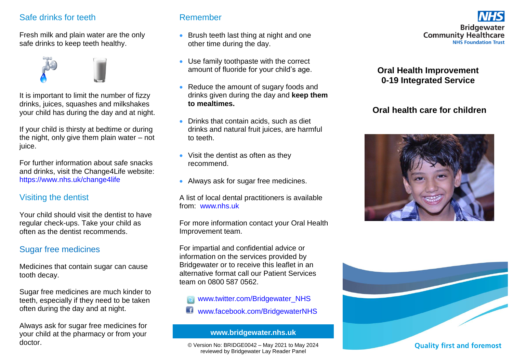### Safe drinks for teeth

Fresh milk and plain water are the only safe drinks to keep teeth healthy.



It is important to limit the number of fizzy drinks, juices, squashes and milkshakes your child has during the day and at night.

If your child is thirsty at bedtime or during the night, only give them plain water – not juice.

For further information about safe snacks and drinks, visit the Change4Life website: <https://www.nhs.uk/change4life>

## Visiting the dentist

Your child should visit the dentist to have regular check-ups. Take your child as often as the dentist recommends.

## Sugar free medicines

Medicines that contain sugar can cause tooth decay.

Sugar free medicines are much kinder to teeth, especially if they need to be taken often during the day and at night.

Always ask for sugar free medicines for your child at the pharmacy or from your doctor.

#### Remember

- Brush teeth last thing at night and one other time during the day.
- Use family toothpaste with the correct amount of fluoride for your child's age.
- Reduce the amount of sugary foods and drinks given during the day and **keep them to mealtimes.**
- Drinks that contain acids, such as diet drinks and natural fruit juices, are harmful to teeth.
- Visit the dentist as often as they recommend.
- Always ask for sugar free medicines.

A list of local dental practitioners is available from: [www.nhs.uk](http://www.nhs.uk/)

For more information contact your Oral Health Improvement team.

For impartial and confidential advice or information on the services provided by Bridgewater or to receive this leaflet in an alternative format call our Patient Services team on 0800 587 0562.

[www.twitter.com/Bridgewater\\_NHS](http://www.twitter.com/Bridgewater_NHS)

www.facebook.com/BridgewaterNHS

**www.bridgewater.nhs.uk**

© Version No: BRIDGE0042 – May 2021 to May 2024 reviewed by Bridgewater Lay Reader Panel



### **Oral Health Improvement 0-19 Integrated Service**

## **Oral health care for children**